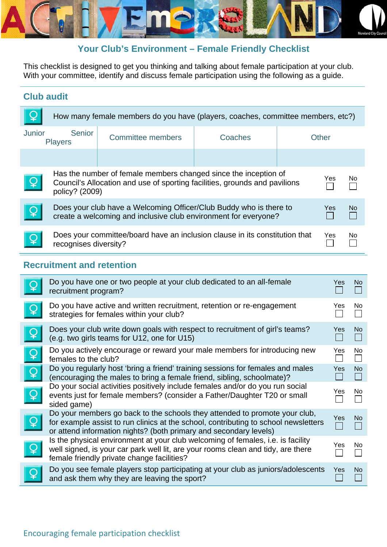

#### **Your Club's Environment – Female Friendly Checklist**

This checklist is designed to get you thinking and talking about female participation at your club. With your committee, identify and discuss female participation using the following as a guide.

#### **Club audit**

| How many female members do you have (players, coaches, committee members, etc?) |                                                                                                                                                                 |                          |         |       |     |     |
|---------------------------------------------------------------------------------|-----------------------------------------------------------------------------------------------------------------------------------------------------------------|--------------------------|---------|-------|-----|-----|
| <b>Junior</b>                                                                   | Senior<br><b>Players</b>                                                                                                                                        | <b>Committee members</b> | Coaches | Other |     |     |
|                                                                                 |                                                                                                                                                                 |                          |         |       |     |     |
| $\overline{Q}$                                                                  | Has the number of female members changed since the inception of<br>Council's Allocation and use of sporting facilities, grounds and pavilions<br>policy? (2009) |                          |         |       | Yes | No. |
| $\boldsymbol{\mathsf{Q}}$                                                       | Does your club have a Welcoming Officer/Club Buddy who is there to<br>create a welcoming and inclusive club environment for everyone?                           |                          |         | Yes.  | No. |     |
|                                                                                 | Does your committee/board have an inclusion clause in its constitution that<br>recognises diversity?                                                            |                          |         | Yes   | No. |     |

#### **Recruitment and retention**

|                | Do you have one or two people at your club dedicated to an all-female<br>recruitment program?                                                                                                                                          | <b>Yes</b> | No.       |
|----------------|----------------------------------------------------------------------------------------------------------------------------------------------------------------------------------------------------------------------------------------|------------|-----------|
|                | Do you have active and written recruitment, retention or re-engagement<br>strategies for females within your club?                                                                                                                     | Yes        | <b>No</b> |
| $\overline{Q}$ | Does your club write down goals with respect to recruitment of girl's teams?<br>(e.g. two girls teams for U12, one for U15)                                                                                                            | Yes        | <b>No</b> |
| $\overline{Q}$ | Do you actively encourage or reward your male members for introducing new<br>females to the club?                                                                                                                                      | Yes        | No        |
| $\overline{Q}$ | Do you regularly host 'bring a friend' training sessions for females and males<br>(encouraging the males to bring a female friend, sibling, schoolmate)?                                                                               | Yes        | <b>No</b> |
| $\overline{Q}$ | Do your social activities positively include females and/or do you run social<br>events just for female members? (consider a Father/Daughter T20 or small<br>sided game)                                                               | Yes        | <b>No</b> |
| $\overline{Q}$ | Do your members go back to the schools they attended to promote your club,<br>for example assist to run clinics at the school, contributing to school newsletters<br>or attend information nights? (both primary and secondary levels) | Yes        | <b>No</b> |
| $\overline{Q}$ | Is the physical environment at your club welcoming of females, i.e. is facility<br>well signed, is your car park well lit, are your rooms clean and tidy, are there<br>female friendly private change facilities?                      | Yes        | No.       |
|                | Do you see female players stop participating at your club as juniors/adolescents<br>and ask them why they are leaving the sport?                                                                                                       | Yes        | <b>No</b> |